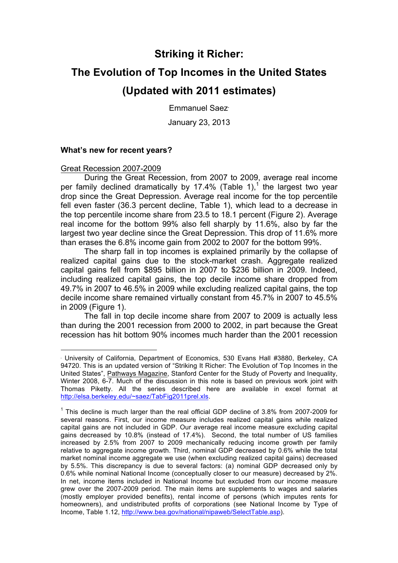## **Striking it Richer:**

# **The Evolution of Top Incomes in the United States (Updated with 2011 estimates)**

Emmanuel Saez•

January 23, 2013

#### **What's new for recent years?**

#### Great Recession 2007-2009

1

During the Great Recession, from 2007 to 2009, average real income per family declined dramatically by 17.4% (Table 1),<sup>1</sup> the largest two year drop since the Great Depression. Average real income for the top percentile fell even faster (36.3 percent decline, Table 1), which lead to a decrease in the top percentile income share from 23.5 to 18.1 percent (Figure 2). Average real income for the bottom 99% also fell sharply by 11.6%, also by far the largest two year decline since the Great Depression. This drop of 11.6% more than erases the 6.8% income gain from 2002 to 2007 for the bottom 99%.

The sharp fall in top incomes is explained primarily by the collapse of realized capital gains due to the stock-market crash. Aggregate realized capital gains fell from \$895 billion in 2007 to \$236 billion in 2009. Indeed, including realized capital gains, the top decile income share dropped from 49.7% in 2007 to 46.5% in 2009 while excluding realized capital gains, the top decile income share remained virtually constant from 45.7% in 2007 to 45.5% in 2009 (Figure 1).

The fall in top decile income share from 2007 to 2009 is actually less than during the 2001 recession from 2000 to 2002, in part because the Great recession has hit bottom 90% incomes much harder than the 2001 recession

<sup>•</sup> University of California, Department of Economics, 530 Evans Hall #3880, Berkeley, CA 94720. This is an updated version of "Striking It Richer: The Evolution of Top Incomes in the United States", Pathways Magazine, Stanford Center for the Study of Poverty and Inequality, Winter 2008, 6-7. Much of the discussion in this note is based on previous work joint with Thomas Piketty. All the series described here are available in excel format at http://elsa.berkeley.edu/~saez/TabFig2011prel.xls.

 $1$  This decline is much larger than the real official GDP decline of 3.8% from 2007-2009 for several reasons. First, our income measure includes realized capital gains while realized capital gains are not included in GDP. Our average real income measure excluding capital gains decreased by 10.8% (instead of 17.4%). Second, the total number of US families increased by 2.5% from 2007 to 2009 mechanically reducing income growth per family relative to aggregate income growth. Third, nominal GDP decreased by 0.6% while the total market nominal income aggregate we use (when excluding realized capital gains) decreased by 5.5%. This discrepancy is due to several factors: (a) nominal GDP decreased only by 0.6% while nominal National Income (conceptually closer to our measure) decreased by 2%. In net, income items included in National Income but excluded from our income measure grew over the 2007-2009 period. The main items are supplements to wages and salaries (mostly employer provided benefits), rental income of persons (which imputes rents for homeowners), and undistributed profits of corporations (see National Income by Type of Income, Table 1.12, http://www.bea.gov/national/nipaweb/SelectTable.asp).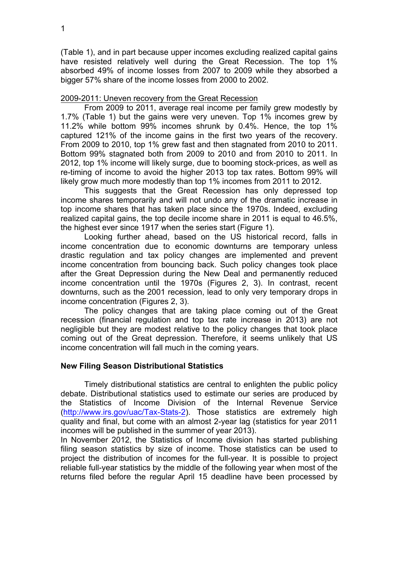(Table 1), and in part because upper incomes excluding realized capital gains have resisted relatively well during the Great Recession. The top 1% absorbed 49% of income losses from 2007 to 2009 while they absorbed a bigger 57% share of the income losses from 2000 to 2002.

#### 2009-2011: Uneven recovery from the Great Recession

From 2009 to 2011, average real income per family grew modestly by 1.7% (Table 1) but the gains were very uneven. Top 1% incomes grew by 11.2% while bottom 99% incomes shrunk by 0.4%. Hence, the top 1% captured 121% of the income gains in the first two years of the recovery. From 2009 to 2010, top 1% grew fast and then stagnated from 2010 to 2011. Bottom 99% stagnated both from 2009 to 2010 and from 2010 to 2011. In 2012, top 1% income will likely surge, due to booming stock-prices, as well as re-timing of income to avoid the higher 2013 top tax rates. Bottom 99% will likely grow much more modestly than top 1% incomes from 2011 to 2012.

This suggests that the Great Recession has only depressed top income shares temporarily and will not undo any of the dramatic increase in top income shares that has taken place since the 1970s. Indeed, excluding realized capital gains, the top decile income share in 2011 is equal to 46.5%, the highest ever since 1917 when the series start (Figure 1).

Looking further ahead, based on the US historical record, falls in income concentration due to economic downturns are temporary unless drastic regulation and tax policy changes are implemented and prevent income concentration from bouncing back. Such policy changes took place after the Great Depression during the New Deal and permanently reduced income concentration until the 1970s (Figures 2, 3). In contrast, recent downturns, such as the 2001 recession, lead to only very temporary drops in income concentration (Figures 2, 3).

The policy changes that are taking place coming out of the Great recession (financial regulation and top tax rate increase in 2013) are not negligible but they are modest relative to the policy changes that took place coming out of the Great depression. Therefore, it seems unlikely that US income concentration will fall much in the coming years.

#### **New Filing Season Distributional Statistics**

Timely distributional statistics are central to enlighten the public policy debate. Distributional statistics used to estimate our series are produced by the Statistics of Income Division of the Internal Revenue Service (http://www.irs.gov/uac/Tax-Stats-2). Those statistics are extremely high quality and final, but come with an almost 2-year lag (statistics for year 2011 incomes will be published in the summer of year 2013).

In November 2012, the Statistics of Income division has started publishing filing season statistics by size of income. Those statistics can be used to project the distribution of incomes for the full-year. It is possible to project reliable full-year statistics by the middle of the following year when most of the returns filed before the regular April 15 deadline have been processed by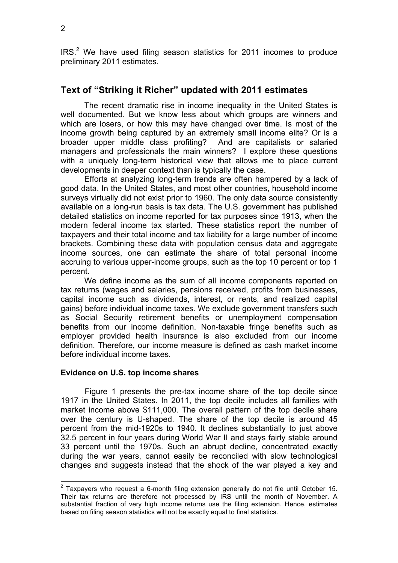$IRS<sup>2</sup>$  We have used filing season statistics for 2011 incomes to produce preliminary 2011 estimates.

### **Text of "Striking it Richer" updated with 2011 estimates**

The recent dramatic rise in income inequality in the United States is well documented. But we know less about which groups are winners and which are losers, or how this may have changed over time. Is most of the income growth being captured by an extremely small income elite? Or is a broader upper middle class profiting? And are capitalists or salaried managers and professionals the main winners? I explore these questions with a uniquely long-term historical view that allows me to place current developments in deeper context than is typically the case.

Efforts at analyzing long-term trends are often hampered by a lack of good data. In the United States, and most other countries, household income surveys virtually did not exist prior to 1960. The only data source consistently available on a long-run basis is tax data. The U.S. government has published detailed statistics on income reported for tax purposes since 1913, when the modern federal income tax started. These statistics report the number of taxpayers and their total income and tax liability for a large number of income brackets. Combining these data with population census data and aggregate income sources, one can estimate the share of total personal income accruing to various upper-income groups, such as the top 10 percent or top 1 percent.

We define income as the sum of all income components reported on tax returns (wages and salaries, pensions received, profits from businesses, capital income such as dividends, interest, or rents, and realized capital gains) before individual income taxes. We exclude government transfers such as Social Security retirement benefits or unemployment compensation benefits from our income definition. Non-taxable fringe benefits such as employer provided health insurance is also excluded from our income definition. Therefore, our income measure is defined as cash market income before individual income taxes.

#### **Evidence on U.S. top income shares**

Figure 1 presents the pre-tax income share of the top decile since 1917 in the United States. In 2011, the top decile includes all families with market income above \$111,000. The overall pattern of the top decile share over the century is U-shaped. The share of the top decile is around 45 percent from the mid-1920s to 1940. It declines substantially to just above 32.5 percent in four years during World War II and stays fairly stable around 33 percent until the 1970s. Such an abrupt decline, concentrated exactly during the war years, cannot easily be reconciled with slow technological changes and suggests instead that the shock of the war played a key and

 $2$  Taxpayers who request a 6-month filing extension generally do not file until October 15. Their tax returns are therefore not processed by IRS until the month of November. A substantial fraction of very high income returns use the filing extension. Hence, estimates based on filing season statistics will not be exactly equal to final statistics.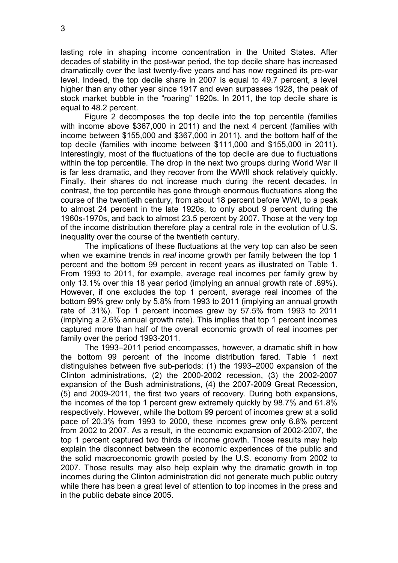lasting role in shaping income concentration in the United States. After decades of stability in the post-war period, the top decile share has increased dramatically over the last twenty-five years and has now regained its pre-war level. Indeed, the top decile share in 2007 is equal to 49.7 percent, a level higher than any other year since 1917 and even surpasses 1928, the peak of stock market bubble in the "roaring" 1920s. In 2011, the top decile share is equal to 48.2 percent.

Figure 2 decomposes the top decile into the top percentile (families with income above \$367,000 in 2011) and the next 4 percent (families with income between \$155,000 and \$367,000 in 2011), and the bottom half of the top decile (families with income between \$111,000 and \$155,000 in 2011). Interestingly, most of the fluctuations of the top decile are due to fluctuations within the top percentile. The drop in the next two groups during World War II is far less dramatic, and they recover from the WWII shock relatively quickly. Finally, their shares do not increase much during the recent decades. In contrast, the top percentile has gone through enormous fluctuations along the course of the twentieth century, from about 18 percent before WWI, to a peak to almost 24 percent in the late 1920s, to only about 9 percent during the 1960s-1970s, and back to almost 23.5 percent by 2007. Those at the very top of the income distribution therefore play a central role in the evolution of U.S. inequality over the course of the twentieth century.

The implications of these fluctuations at the very top can also be seen when we examine trends in *real* income growth per family between the top 1 percent and the bottom 99 percent in recent years as illustrated on Table 1. From 1993 to 2011, for example, average real incomes per family grew by only 13.1% over this 18 year period (implying an annual growth rate of .69%). However, if one excludes the top 1 percent, average real incomes of the bottom 99% grew only by 5.8% from 1993 to 2011 (implying an annual growth rate of .31%). Top 1 percent incomes grew by 57.5% from 1993 to 2011 (implying a 2.6% annual growth rate). This implies that top 1 percent incomes captured more than half of the overall economic growth of real incomes per family over the period 1993-2011.

The 1993–2011 period encompasses, however, a dramatic shift in how the bottom 99 percent of the income distribution fared. Table 1 next distinguishes between five sub-periods: (1) the 1993–2000 expansion of the Clinton administrations, (2) the 2000-2002 recession, (3) the 2002-2007 expansion of the Bush administrations, (4) the 2007-2009 Great Recession, (5) and 2009-2011, the first two years of recovery. During both expansions, the incomes of the top 1 percent grew extremely quickly by 98.7% and 61.8% respectively. However, while the bottom 99 percent of incomes grew at a solid pace of 20.3% from 1993 to 2000, these incomes grew only 6.8% percent from 2002 to 2007. As a result, in the economic expansion of 2002-2007, the top 1 percent captured two thirds of income growth. Those results may help explain the disconnect between the economic experiences of the public and the solid macroeconomic growth posted by the U.S. economy from 2002 to 2007. Those results may also help explain why the dramatic growth in top incomes during the Clinton administration did not generate much public outcry while there has been a great level of attention to top incomes in the press and in the public debate since 2005.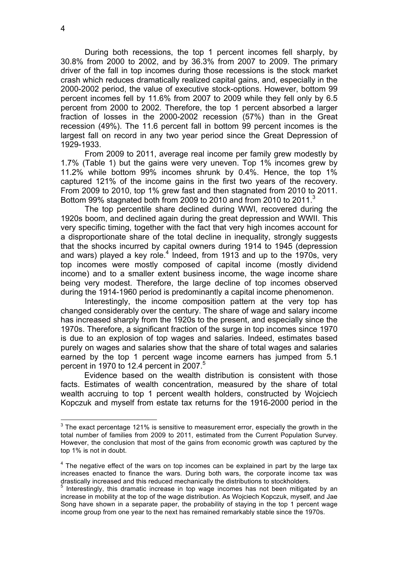During both recessions, the top 1 percent incomes fell sharply, by 30.8% from 2000 to 2002, and by 36.3% from 2007 to 2009. The primary driver of the fall in top incomes during those recessions is the stock market crash which reduces dramatically realized capital gains, and, especially in the 2000-2002 period, the value of executive stock-options. However, bottom 99 percent incomes fell by 11.6% from 2007 to 2009 while they fell only by 6.5 percent from 2000 to 2002. Therefore, the top 1 percent absorbed a larger fraction of losses in the 2000-2002 recession (57%) than in the Great recession (49%). The 11.6 percent fall in bottom 99 percent incomes is the largest fall on record in any two year period since the Great Depression of 1929-1933.

From 2009 to 2011, average real income per family grew modestly by 1.7% (Table 1) but the gains were very uneven. Top 1% incomes grew by 11.2% while bottom 99% incomes shrunk by 0.4%. Hence, the top 1% captured 121% of the income gains in the first two years of the recovery. From 2009 to 2010, top 1% grew fast and then stagnated from 2010 to 2011. Bottom 99% stagnated both from 2009 to 2010 and from 2010 to 2011.<sup>3</sup>

The top percentile share declined during WWI, recovered during the 1920s boom, and declined again during the great depression and WWII. This very specific timing, together with the fact that very high incomes account for a disproportionate share of the total decline in inequality, strongly suggests that the shocks incurred by capital owners during 1914 to 1945 (depression and wars) played a key role.<sup>4</sup> Indeed, from 1913 and up to the 1970s, very top incomes were mostly composed of capital income (mostly dividend income) and to a smaller extent business income, the wage income share being very modest. Therefore, the large decline of top incomes observed during the 1914-1960 period is predominantly a capital income phenomenon.

Interestingly, the income composition pattern at the very top has changed considerably over the century. The share of wage and salary income has increased sharply from the 1920s to the present, and especially since the 1970s. Therefore, a significant fraction of the surge in top incomes since 1970 is due to an explosion of top wages and salaries. Indeed, estimates based purely on wages and salaries show that the share of total wages and salaries earned by the top 1 percent wage income earners has jumped from 5.1 percent in 1970 to 12.4 percent in 2007. 5

Evidence based on the wealth distribution is consistent with those facts. Estimates of wealth concentration, measured by the share of total wealth accruing to top 1 percent wealth holders, constructed by Wojciech Kopczuk and myself from estate tax returns for the 1916-2000 period in the

 $3$  The exact percentage 121% is sensitive to measurement error, especially the growth in the total number of families from 2009 to 2011, estimated from the Current Population Survey. However, the conclusion that most of the gains from economic growth was captured by the top 1% is not in doubt.

<sup>&</sup>lt;sup>4</sup> The negative effect of the wars on top incomes can be explained in part by the large tax increases enacted to finance the wars. During both wars, the corporate income tax was drastically increased and this reduced mechanically the distributions to stockholders.

 $5$  Interestingly, this dramatic increase in top wage incomes has not been mitigated by an increase in mobility at the top of the wage distribution. As Wojciech Kopczuk, myself, and Jae Song have shown in a separate paper, the probability of staying in the top 1 percent wage income group from one year to the next has remained remarkably stable since the 1970s.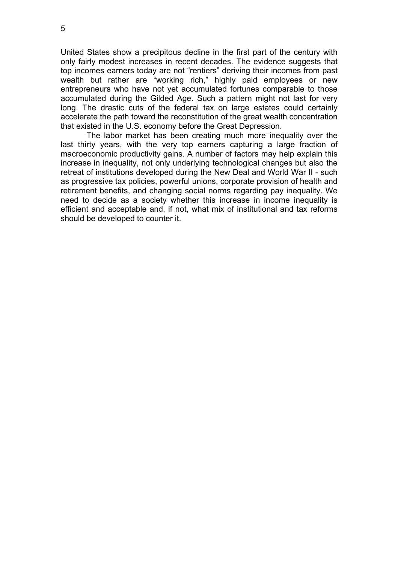United States show a precipitous decline in the first part of the century with only fairly modest increases in recent decades. The evidence suggests that top incomes earners today are not "rentiers" deriving their incomes from past wealth but rather are "working rich," highly paid employees or new entrepreneurs who have not yet accumulated fortunes comparable to those accumulated during the Gilded Age. Such a pattern might not last for very long. The drastic cuts of the federal tax on large estates could certainly accelerate the path toward the reconstitution of the great wealth concentration that existed in the U.S. economy before the Great Depression.

The labor market has been creating much more inequality over the last thirty years, with the very top earners capturing a large fraction of macroeconomic productivity gains. A number of factors may help explain this increase in inequality, not only underlying technological changes but also the retreat of institutions developed during the New Deal and World War II - such as progressive tax policies, powerful unions, corporate provision of health and retirement benefits, and changing social norms regarding pay inequality. We need to decide as a society whether this increase in income inequality is efficient and acceptable and, if not, what mix of institutional and tax reforms should be developed to counter it.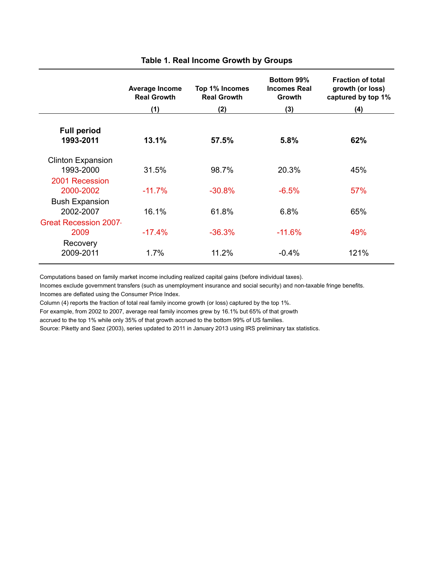|                                       | Average Income<br><b>Real Growth</b> | Top 1% Incomes<br><b>Real Growth</b> | Bottom 99%<br><b>Incomes Real</b><br><b>Growth</b> | <b>Fraction of total</b><br>growth (or loss)<br>captured by top 1% |
|---------------------------------------|--------------------------------------|--------------------------------------|----------------------------------------------------|--------------------------------------------------------------------|
|                                       | (1)                                  | (2)                                  | (3)                                                | (4)                                                                |
| <b>Full period</b><br>1993-2011       | 13.1%                                | 57.5%                                | 5.8%                                               | 62%                                                                |
| <b>Clinton Expansion</b><br>1993-2000 | 31.5%                                | 98.7%                                | 20.3%                                              | 45%                                                                |
| 2001 Recession<br>2000-2002           | $-11.7%$                             | $-30.8%$                             | $-6.5%$                                            | 57%                                                                |
| <b>Bush Expansion</b><br>2002-2007    | 16.1%                                | 61.8%                                | 6.8%                                               | 65%                                                                |
| <b>Great Recession 2007</b><br>2009   | $-17.4%$                             | $-36.3%$                             | $-11.6%$                                           | 49%                                                                |
| Recovery<br>2009-2011                 | 1.7%                                 | 11.2%                                | $-0.4%$                                            | 121%                                                               |

#### **Table 1. Real Income Growth by Groups**

Computations based on family market income including realized capital gains (before individual taxes).

Incomes exclude government transfers (such as unemployment insurance and social security) and non-taxable fringe benefits. Incomes are deflated using the Consumer Price Index.

Column (4) reports the fraction of total real family income growth (or loss) captured by the top 1%.

For example, from 2002 to 2007, average real family incomes grew by 16.1% but 65% of that growth

accrued to the top 1% while only 35% of that growth accrued to the bottom 99% of US families.

Source: Piketty and Saez (2003), series updated to 2011 in January 2013 using IRS preliminary tax statistics.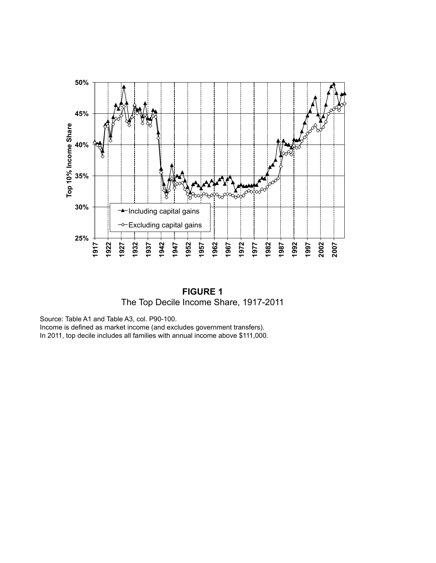

**FIGURE 1** The Top Decile Income Share, 1917-2011

Source: Table A1 and Table A3, col. P90-100.

Income is defined as market income (and excludes government transfers).

In 2011, top decile includes all families with annual income above \$111,000.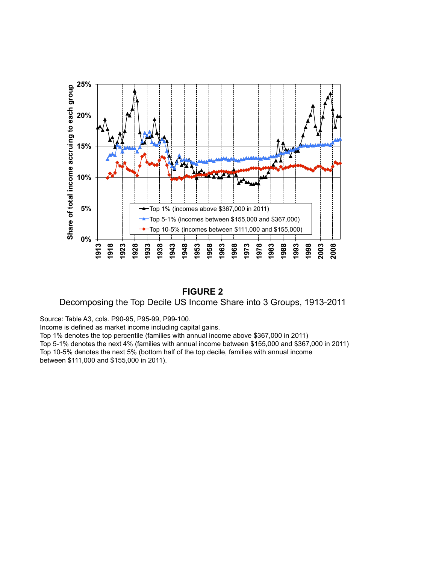

#### **FIGURE 2**

Decomposing the Top Decile US Income Share into 3 Groups, 1913-2011

Source: Table A3, cols. P90-95, P95-99, P99-100.

Income is defined as market income including capital gains.

Top 1% denotes the top percentile (families with annual income above \$367,000 in 2011)

Top 5-1% denotes the next 4% (families with annual income between \$155,000 and \$367,000 in 2011) Top 10-5% denotes the next 5% (bottom half of the top decile, families with annual income

between \$111,000 and \$155,000 in 2011).